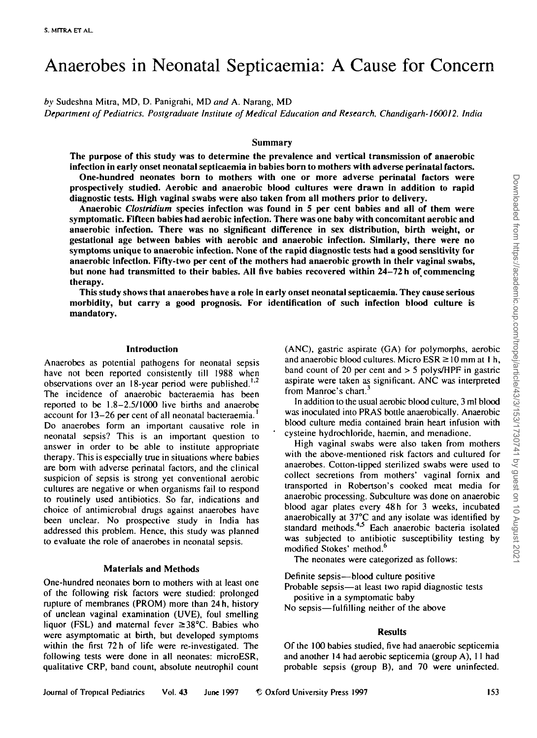# Anaerobes in Neonatal Septicaemia: A Cause for Concern

*by* Sudeshna Mitra, MD, D. Panigrahi, MD *and* A. Narang, **MD**

*Department of Pediatrics, Postgraduate Institute of Medical Education and Research, Chandigarh-160012, India*

## **Summary**

**The purpose of this study was to determine the prevalence and vertical transmission of anaerobic infection in early onset neonatal septicaemia in babies born to mothers with adverse perinatal factors.**

**One-hundred neonates born to mothers with one or more adverse perinatal factors were prospectively studied. Aerobic and anaerobic blood cultures were drawn in addition to rapid diagnostic tests. High vaginal** swabs **were also taken from all mothers prior to delivery.**

**Anaerobic** *Clostridium* **species infection was found in 5 per cent babies and all of them were symptomatic Fifteen babies had aerobic infection. There was one baby with concomitant aerobic and anaerobic infection. There was no significant difference in sex distribution, birth weight, or gestational age between babies with aerobic and anaerobic infection. Similarly, there were no symptoms unique to anaerobic infection. None of the rapid diagnostic tests had a good sensitivity for anaerobic infection. Fifty-two per cent of the mothers had anaerobic growth in their vaginal swabs, but none had transmitted to their babies. All five babies recovered within 24-72 h of commencing therapy.**

**This study shows that anaerobes have a role in early onset neonatal septicaemia. They cause serious morbidity, but carry a good prognosis. For identification of such infection blood culture is mandatory.**

#### **Introduction**

Anaerobes as potential pathogens for neonatal sepsis have not been reported consistently till 1988 when observations over an 18-year period were published.*L1* The incidence of anaerobic bacteraemia has been reported to be 1.8-2.5/1000 live births and anaerobe account for 13–26 per cent of all neonatal bacteraemia.<sup>1</sup> Do anaerobes form an important causative role in neonatal sepsis? This is an important question to answer in order to be able to institute appropriate therapy. This is especially true in situations where babies are bom with adverse perinatal factors, and the clinical suspicion of sepsis is strong yet conventional aerobic cultures are negative or when organisms fail to respond to routinely used antibiotics. So far, indications and choice of antimicrobial drugs against anaerobes have been unclear. No prospective study in India has addressed this problem. Hence, this study was planned to evaluate the role of anaerobes in neonatal sepsis.

#### **Materials and Methods**

One-hundred neonates born to mothers with at least one of the following risk factors were studied: prolonged rupture of membranes (PROM) more than 24 h, history of unclean vaginal examination (UVE), foul smelling liquor (FSL) and maternal fever  $\geq 38^{\circ}$ C. Babies who were asymptomatic at birth, but developed symptoms within the first 72 h of life were re-investigated. The following tests were done in all neonates: microESR, qualitative CRP, band count, absolute neutrophil count (ANC), gastric aspirate (GA) for polymorphs, aerobic and anaerobic blood cultures. Micro  $ESR \ge 10$  mm at 1 h, band count of 20 per cent and > 5 polys/HPF in gastric aspirate were taken as significant. ANC was interpreted from Manroe's chart.<sup>3</sup>

In addition to the usual aerobic blood culture, 3 ml blood was inoculated into PRAS bottle anaerobically. Anaerobic blood culture media contained brain heart infusion with cysteine hydrochloride, haemin, and menadione.

High vaginal swabs were also taken from mothers with the above-mentioned risk factors and cultured for anaerobes. Cotton-tipped sterilized swabs were used to collect secretions from mothers' vaginal fornix and transported in Robertson's cooked meat media for anaerobic processing. Subculture was done on anaerobic blood agar plates every 48 h for 3 weeks, incubated anaerobically at 37°C and any isolate was identified by standard methods.<sup>4,5</sup> Each anaerobic bacteria isolated was subjected to antibiotic susceptibility testing by modified Stokes' method.<sup>6</sup>

The neonates were categorized as follows:

Definite sepsis—blood culture positive Probable sepsis—at least two rapid diagnostic tests positive in a symptomatic baby No sepsis—fulfilling neither of the above

#### **Results**

Of the 100 babies studied, five had anaerobic seplicemia and another 14 had aerobic septicemia (group A), 11 had probable sepsis (group B), and 70 were uninfected.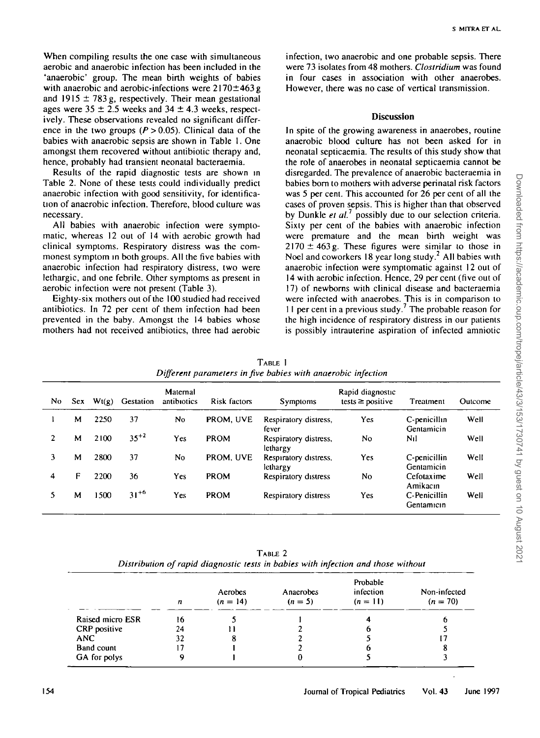When compiling results the one case with simultaneous aerobic and anaerobic infection has been included in the 'anaerobic' group. The mean birth weights of babies with anaerobic and aerobic-infections were  $2170 \pm 463$  g and 1915  $\pm$  783 g, respectively. Their mean gestational ages were  $35 \pm 2.5$  weeks and  $34 \pm 4.3$  weeks, respectively. These observations revealed no significant difference in the two groups  $(P > 0.05)$ . Clinical data of the babies with anaerobic sepsis are shown in Table 1. One amongst them recovered without antibiotic therapy and, hence, probably had transient neonatal bacteraemia.

Results of the rapid diagnostic tests are shown in Table 2. None of these tests could individually predict anaerobic infection with good sensitivity, for identification of anaerobic infection. Therefore, blood culture was necessary.

All babies with anaerobic infection were symptomatic, whereas 12 out of 14 with aerobic growth had clinical symptoms. Respiratory distress was the commonest symptom in both groups. All the five babies with anaerobic infection had respiratory distress, two were lethargic, and one febrile. Other symptoms as present in aerobic infection were not present (Table 3).

Eighty-six mothers out of the 100 studied had received antibiotics. In 72 per cent of them infection had been prevented in the baby. Amongst the 14 babies whose mothers had not received antibiotics, three had aerobic

infection, two anaerobic and one probable sepsis. There were 73 isolates from 48 mothers. *Clostridium* was found in four cases in association with other anaerobes. However, there was no case of vertical transmission.

### **Discussion**

In spite of the growing awareness in anaerobes, routine anaerobic blood culture has not been asked for in neonatal septicaemia. The results of this study show that the role of anaerobes in neonatal septicaemia cannot be disregarded. The prevalence of anaerobic bacteraemia in babies bom to mothers with adverse perinatal risk factors was 5 per cent. This accounted for 26 per cent of all the cases of proven sepsis. This is higher than that observed by Dunkle *et al.*<sup>7</sup> possibly due to our selection criteria. Sixty per cent of the babies with anaerobic infection were premature and the mean birth weight was  $2170 \pm 463$  g. These figures were similar to those in Noel and coworkers  $18$  year long study.<sup>2</sup> All babies with anaerobic infection were symptomatic against 12 out of 14 with aerobic infection. Hence, 29 per cent (five out of 17) of newborns with clinical disease and bacteraemia were infected with anaerobes. This is in comparison to The different in a previous study.<sup>7</sup> The probable reason for  $\frac{1}{2}$ the high incidence of respiratory distress in our patients is possibly intrauterine aspiration of infected amniotic

| TARLE                                                        |
|--------------------------------------------------------------|
| Different parameters in five babies with anaerobic infection |
|                                                              |

| No | Sex. | Wt(g) | <b>Gestation</b> | Maternal<br>antibiotics | Risk factors | Symptoms                          | Rapid diagnostic<br>tests $\geq$ positive | Treatment                  | Outcome |
|----|------|-------|------------------|-------------------------|--------------|-----------------------------------|-------------------------------------------|----------------------------|---------|
|    | М    | 2250  | 37               | No                      | PROM, UVE    | Respiratory distress,<br>fever    | Yes                                       | C-penicillin<br>Gentamicin | Well    |
|    | м    | 2100  | $35^{+2}$        | Yes                     | <b>PROM</b>  | Respiratory distress,<br>lethargy | No                                        | N <sub>1</sub>             | Well    |
|    | м    | 2800  | 37               | No                      | PROM, UVE    | Respiratory distress,<br>lethargy | Yes                                       | C-penicillin<br>Gentamicin | Well    |
| 4  | F    | 2200  | 36               | Yes                     | <b>PROM</b>  | Respiratory distress              | No                                        | Cefotaxime<br>Amikacın     | Well    |
|    | м    | 1500  | $31^{+6}$        | Yes                     | PROM         | <b>Respiratory distress</b>       | Yes.                                      | C-Penicillin<br>Gentamicin | Well    |

TABLE 2 *Distribution of rapid diagnostic tests in babies with infection and those without*

|                   | $\boldsymbol{n}$ | Aerobes<br>$(n = 14)$ | Anaerobes<br>$(n = 5)$ | Probable<br>infection<br>$(n = 11)$ | Non-infected<br>$(n = 70)$ |
|-------------------|------------------|-----------------------|------------------------|-------------------------------------|----------------------------|
| Raised micro ESR  | 16               |                       |                        |                                     | o                          |
| CRP positive      | 24               |                       |                        |                                     |                            |
| <b>ANC</b>        | 32               | 8                     |                        |                                     |                            |
| <b>Band count</b> |                  |                       |                        |                                     |                            |
| GA for polys      |                  |                       |                        |                                     |                            |